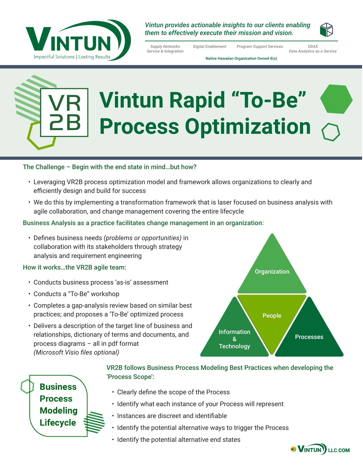

*Vintun provides actionable insights to our clients enabling them to effectively execute their mission and vision.* 

*Supply Networks Service & Integration*

*Digital Enablement Program Support Services VDAX Data Analytics as a Service*

Native Hawaiian Organization Owned 8(a)

# **Vintun Rapid "To-Be" Process Optimization**

#### The Challenge – Begin with the end state in mind…but how?

- Leveraging VR2B process optimization model and framework allows organizations to clearly and efficiently design and build for success
- We do this by implementing a transformation framework that is laser focused on business analysis with agile collaboration, and change management covering the entire lifecycle

#### Business Analysis as a practice facilitates change management in an organization:

• Defines business needs *(problems or opportunities)* in collaboration with its stakeholders through strategy analysis and requirement engineering

#### How it works…the VR2B agile team:

- Conducts business process 'as-is' assessment
- Conducts a "To-Be" workshop
- Completes a gap-analysis review based on similar best practices; and proposes a 'To-Be' optimized process
- Delivers a description of the target line of business and relationships, dictionary of terms and documents, and process diagrams – all in pdf format *(Microsoft Visio files optional)*





#### VR2B follows Business Process Modeling Best Practices when developing the 'Process Scope':

- Clearly define the scope of the Process
- Identify what each instance of your Process will represent
- Instances are discreet and identifiable
- Identify the potential alternative ways to trigger the Process
- Identify the potential alternative end states